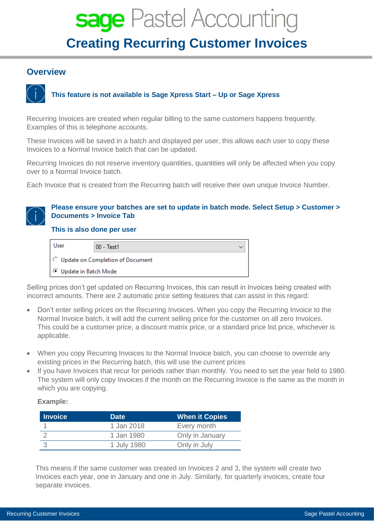# sage Pastel Accounting **Creating Recurring Customer Invoices**

## **Overview**



# **This feature is not available is Sage Xpress Start – Up or Sage Xpress**

Recurring Invoices are created when regular billing to the same customers happens frequently. Examples of this is telephone accounts.

These Invoices will be saved in a batch and displayed per user, this allows each user to copy these Invoices to a Normal Invoice batch that can be updated.

Recurring Invoices do not reserve inventory quantities, quantities will only be affected when you copy over to a Normal Invoice batch.

Each Invoice that is created from the Recurring batch will receive their own unique Invoice Number.

## **Please ensure your batches are set to update in batch mode. Select Setup > Customer > Documents > Invoice Tab**

## **This is also done per user**



Selling prices don't get updated on Recurring Invoices, this can result in Invoices being created with incorrect amounts. There are 2 automatic price setting features that can assist in this regard:

- Don't enter selling prices on the Recurring Invoices. When you copy the Recurring Invoice to the Normal Invoice batch, it will add the current selling price for the customer on all zero Invoices. This could be a customer price, a discount matrix price, or a standard price list price, whichever is applicable.
- When you copy Recurring Invoices to the Normal Invoice batch, you can choose to override any existing prices in the Recurring batch, this will use the current prices
- If you have Invoices that recur for periods rather than monthly. You need to set the year field to 1980. The system will only copy Invoices if the month on the Recurring Invoice is the same as the month in which you are copying.

#### **Example:**

| <b>Invoice</b> | <b>Date</b> | <b>When it Copies</b> |
|----------------|-------------|-----------------------|
|                | 1 Jan 2018  | Every month           |
|                | 1 Jan 1980  | Only in January       |
|                | 1 July 1980 | Only in July          |

This means if the same customer was created on Invoices 2 and 3, the system will create two Invoices each year, one in January and one in July. Similarly, for quarterly invoices, create four separate invoices.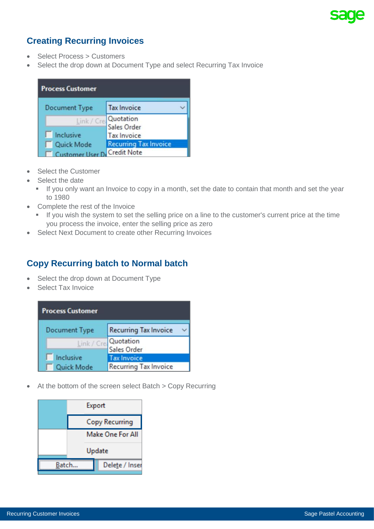# **Creating Recurring Invoices**

- Select Process > Customers
- Select the drop down at Document Type and select Recurring Tax Invoice

| <b>Process Customer</b> |                                      |  |  |  |
|-------------------------|--------------------------------------|--|--|--|
| <b>Document Type</b>    | <b>Tax Invoice</b>                   |  |  |  |
|                         | Link / Crea Quotation<br>Sales Order |  |  |  |
| Inclusive               | <b>Tax Invoice</b>                   |  |  |  |
| Quick Mode              | <b>Recurring Tax Invoice</b>         |  |  |  |
| ustomer Heer E          | <b>Credit Note</b>                   |  |  |  |

- Select the Customer
- Select the date
	- **EXT** If you only want an Invoice to copy in a month, set the date to contain that month and set the year to 1980
- Complete the rest of the Invoice
	- If you wish the system to set the selling price on a line to the customer's current price at the time you process the invoice, enter the selling price as zero
- Select Next Document to create other Recurring Invoices

# **Copy Recurring batch to Normal batch**

- Select the drop down at Document Type
- Select Tax Invoice

| <b>Process Customer</b> |                                      |  |  |  |
|-------------------------|--------------------------------------|--|--|--|
| <b>Document Type</b>    | <b>Recurring Tax Invoice</b>         |  |  |  |
|                         | Link / Cre. Quotation<br>Sales Order |  |  |  |
| Inclusive               | <b>Tax Invoice</b>                   |  |  |  |
| Quick Mode              | <b>Recurring Tax Invoice</b>         |  |  |  |

• At the bottom of the screen select Batch > Copy Recurring

|       | Export                |  |  |  |
|-------|-----------------------|--|--|--|
|       | <b>Copy Recurring</b> |  |  |  |
|       | Make One For All      |  |  |  |
|       | Update                |  |  |  |
| Batch | Delete / Inser        |  |  |  |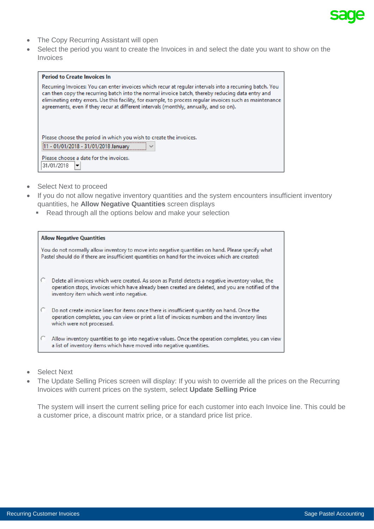

- The Copy Recurring Assistant will open
- Select the period you want to create the Invoices in and select the date you want to show on the **Invoices**

| <b>Period to Create Invoices In</b>                                                                                                                                                                                                                                                                                                                                                                               |  |  |  |  |
|-------------------------------------------------------------------------------------------------------------------------------------------------------------------------------------------------------------------------------------------------------------------------------------------------------------------------------------------------------------------------------------------------------------------|--|--|--|--|
| Recurring Invoices: You can enter invoices which recur at regular intervals into a recurring batch. You<br>can then copy the recurring batch into the normal invoice batch, thereby reducing data entry and<br>eliminating entry errors. Use this facility, for example, to process regular invoices such as maintenance<br>agreements, even if they recur at different intervals (monthly, annually, and so on). |  |  |  |  |
| Please choose the period in which you wish to create the invoices.<br>- 01/01/2018 - 31/01/2018 January<br>$\checkmark$<br>Please choose a date for the invoices.<br>31/01/2018<br>▼                                                                                                                                                                                                                              |  |  |  |  |

- Select Next to proceed
- If you do not allow negative inventory quantities and the system encounters insufficient inventory quantities, he **Allow Negative Quantities** screen displays
	- Read through all the options below and make your selection

| <b>Allow Negative Quantities</b>                                                                                                                                                                                                                    |
|-----------------------------------------------------------------------------------------------------------------------------------------------------------------------------------------------------------------------------------------------------|
| You do not normally allow inventory to move into negative quantities on hand. Please specify what<br>Pastel should do if there are insufficient quantities on hand for the invoices which are created:                                              |
| Delete all invoices which were created. As soon as Pastel detects a negative inventory value, the<br>operation stops, invoices which have already been created are deleted, and you are notified of the<br>inventory item which went into negative. |
| Do not create invoice lines for items once there is insufficient quantity on hand. Once the<br>operation completes, you can view or print a list of invoices numbers and the inventory lines<br>which were not processed.                           |
| Allow inventory quantities to go into negative values. Once the operation completes, you can view<br>a list of inventory items which have moved into negative quantities.                                                                           |

- Select Next
- The Update Selling Prices screen will display: If you wish to override all the prices on the Recurring Invoices with current prices on the system, select **Update Selling Price**

The system will insert the current selling price for each customer into each Invoice line. This could be a customer price, a discount matrix price, or a standard price list price.